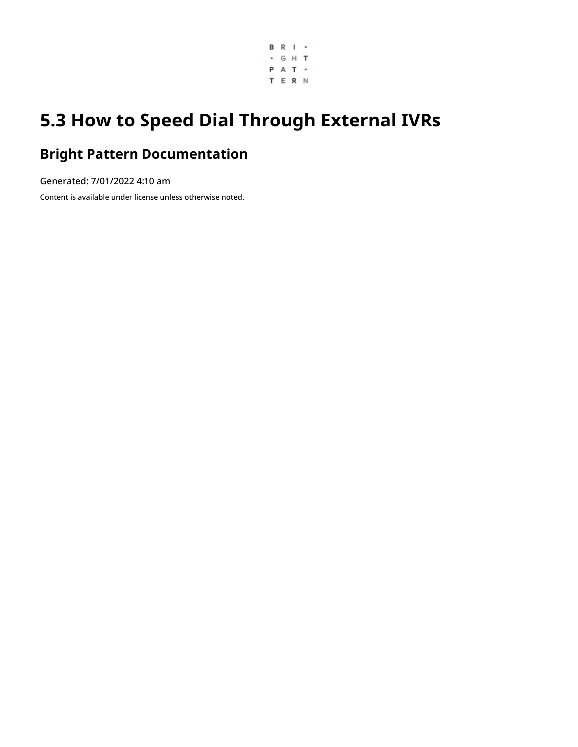

# **5.3 How to Speed Dial Through External IVRs**

## **Bright Pattern Documentation**

Generated: 7/01/2022 4:10 am

Content is available under license unless otherwise noted.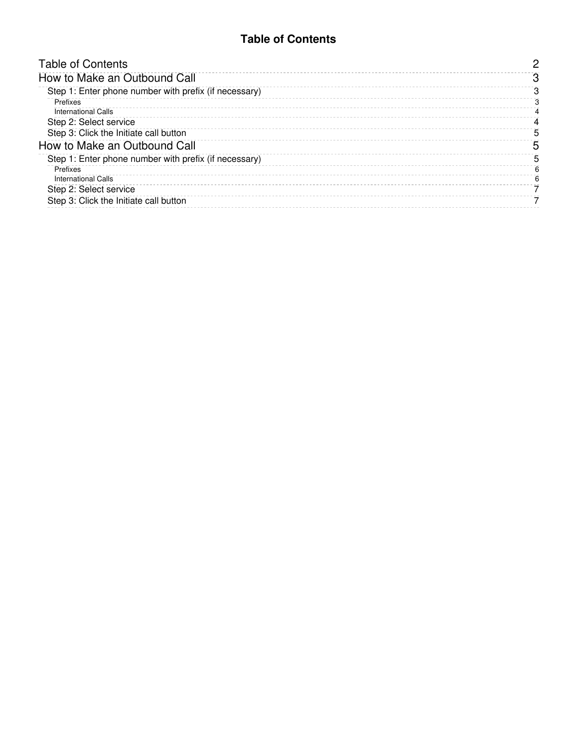#### **Table of Contents**

<span id="page-1-0"></span>

| <b>Table of Contents</b>                              |   |
|-------------------------------------------------------|---|
| How to Make an Outbound Call                          |   |
| Step 1: Enter phone number with prefix (if necessary) |   |
| Prefixes<br><b>International Calls</b>                |   |
| Step 2: Select service                                | 4 |
| Step 3: Click the Initiate call button                | 5 |
| How to Make an Outbound Call                          | 5 |
| Step 1: Enter phone number with prefix (if necessary) | 5 |
| Prefixes                                              | 6 |
| <b>International Calls</b>                            | ี |
| Step 2: Select service                                |   |
| Step 3: Click the Initiate call button                |   |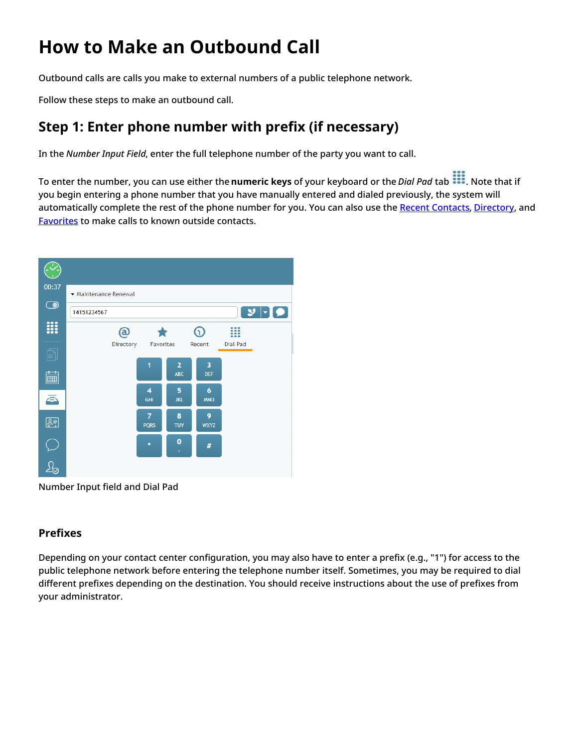# <span id="page-2-0"></span>**How to Make an Outbound Call**

Outbound calls are calls you make to external numbers of a public telephone network.

Follow these steps to make an outbound call.

### <span id="page-2-1"></span>**Step 1: Enter phone number with prefix (if necessary)**

In the *Number Input Field*, enter the full telephone number of the party you want to call.

To enter the number, you can use either the **numeric keys** of your keyboard or the *Dial Pad* tab . Note that if you begin entering a phone number that you have manually entered and dialed previously, the system will automatically complete the rest of the phone number for you. You can also use the Recent [Contacts](https://help.brightpattern.com/5.3:Agent-guide/Tutorials/Calls/HowtoSpeedDialThroughExternalIVRs/?action=html-localimages-export#topic_agent-guide.2Fhowtoredialapreviouslydialednumber), [Directory](https://help.brightpattern.com/5.3:Agent-guide/Tutorials/Calls/HowtoSpeedDialThroughExternalIVRs/?action=html-localimages-export#topic_agent-guide.2Fhowtousethedirectory), and [Favorites](https://help.brightpattern.com/5.3:Agent-guide/Tutorials/Calls/HowtoSpeedDialThroughExternalIVRs/?action=html-localimages-export#topic_agent-guide.2Fhowtousefavoritecontacts) to make calls to known outside contacts.



Number Input field and Dial Pad

#### <span id="page-2-2"></span>**Prefixes**

Depending on your contact center configuration, you may also have to enter a prefix (e.g., "1") for access to the public telephone network before entering the telephone number itself. Sometimes, you may be required to dial different prefixes depending on the destination. You should receive instructions about the use of prefixes from your administrator.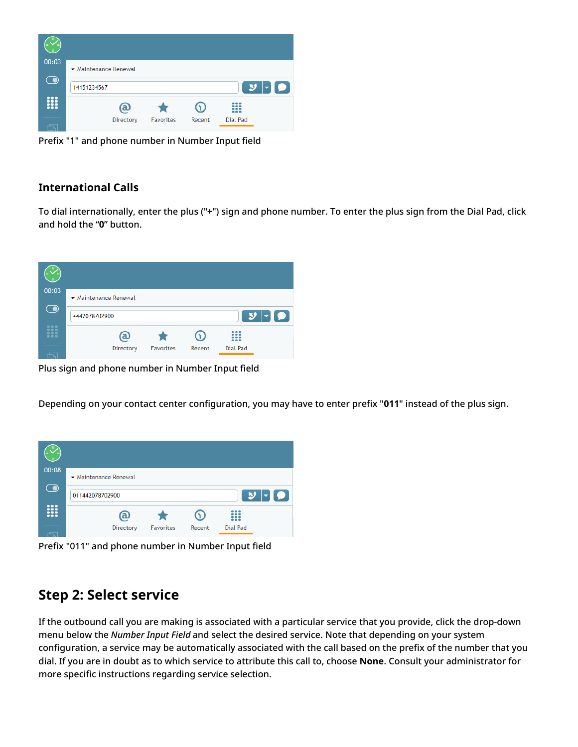

Prefix "1" and phone number in Number Input field

#### <span id="page-3-0"></span>**International Calls**

To dial internationally, enter the plus ("**+**") sign and phone number. To enter the plus sign from the Dial Pad, click and hold the "**0**" button.



Plus sign and phone number in Number Input field

Depending on your contact center configuration, you may have to enter prefix "**011**" instead of the plus sign.



Prefix "011" and phone number in Number Input field

## <span id="page-3-1"></span>**Step 2: Select service**

If the outbound call you are making is associated with a particular service that you provide, click the drop-down menu below the *Number Input Field* and select the desired service. Note that depending on your system configuration, a service may be automatically associated with the call based on the prefix of the number that you dial. If you are in doubt as to which service to attribute this call to, choose **None**. Consult your administrator for more specific instructions regarding service selection.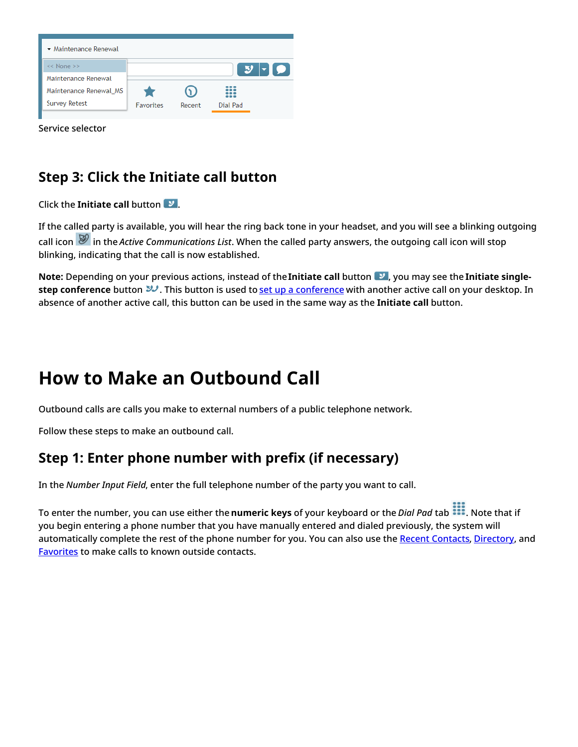

Service selector

## <span id="page-4-0"></span>**Step 3: Click the Initiate call button**

#### Click the **Initiate call** button .

If the called party is available, you will hear the ring back tone in your headset, and you will see a blinking outgoing call icon in the *Active Communications List*. When the called party answers, the outgoing call icon will stop blinking, indicating that the call is now established.

**Note:** Depending on your previous actions, instead of the **Initiate call** button **v**, you may see the **Initiate singlestep [conference](https://help.brightpattern.com/5.3:Agent-guide/Tutorials/Calls/HowtoSpeedDialThroughExternalIVRs/?action=html-localimages-export#topic_agent-guide.2Fhowtohostaconference)** button  $\mathcal{Y}$ . This button is used to set up a conference with another active call on your desktop. In absence of another active call, this button can be used in the same way as the **Initiate call** button.

# <span id="page-4-1"></span>**How to Make an Outbound Call**

Outbound calls are calls you make to external numbers of a public telephone network.

Follow these steps to make an outbound call.

## <span id="page-4-2"></span>**Step 1: Enter phone number with prefix (if necessary)**

In the *Number Input Field*, enter the full telephone number of the party you want to call.

To enter the number, you can use either the **numeric keys** of your keyboard or the *Dial Pad* tab . Note that if you begin entering a phone number that you have manually entered and dialed previously, the system will automatically complete the rest of the phone number for you. You can also use the Recent [Contacts](https://help.brightpattern.com/5.3:Agent-guide/Tutorials/Calls/HowtoSpeedDialThroughExternalIVRs/?action=html-localimages-export#topic_agent-guide.2Fhowtoredialapreviouslydialednumber), [Directory](https://help.brightpattern.com/5.3:Agent-guide/Tutorials/Calls/HowtoSpeedDialThroughExternalIVRs/?action=html-localimages-export#topic_agent-guide.2Fhowtousethedirectory), and [Favorites](https://help.brightpattern.com/5.3:Agent-guide/Tutorials/Calls/HowtoSpeedDialThroughExternalIVRs/?action=html-localimages-export#topic_agent-guide.2Fhowtousefavoritecontacts) to make calls to known outside contacts.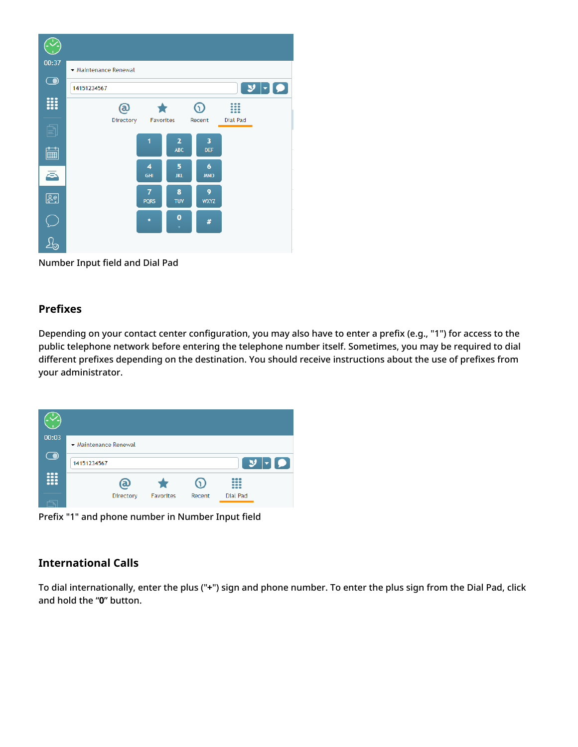

Number Input field and Dial Pad

#### <span id="page-5-0"></span>**Prefixes**

Depending on your contact center configuration, you may also have to enter a prefix (e.g., "1") for access to the public telephone network before entering the telephone number itself. Sometimes, you may be required to dial different prefixes depending on the destination. You should receive instructions about the use of prefixes from your administrator.



Prefix "1" and phone number in Number Input field

#### <span id="page-5-1"></span>**International Calls**

To dial internationally, enter the plus ("**+**") sign and phone number. To enter the plus sign from the Dial Pad, click and hold the "**0**" button.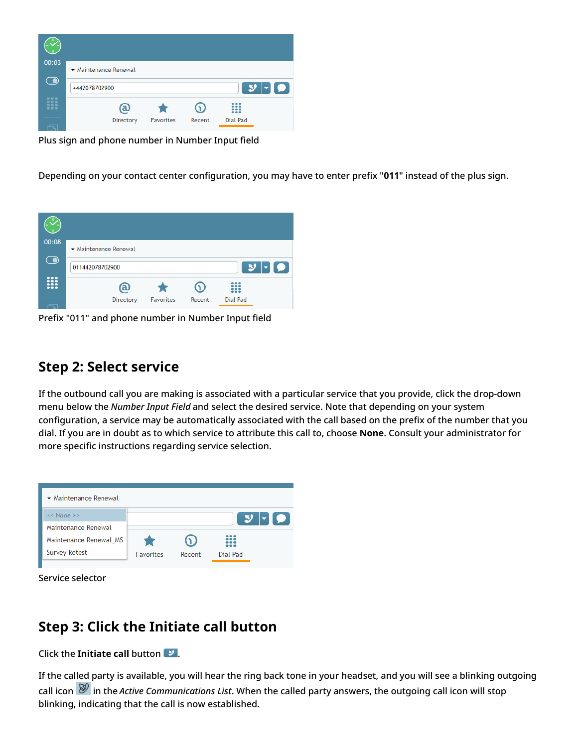

Plus sign and phone number in Number Input field

Depending on your contact center configuration, you may have to enter prefix "**011**" instead of the plus sign.



Prefix "011" and phone number in Number Input field

#### <span id="page-6-0"></span>**Step 2: Select service**

If the outbound call you are making is associated with a particular service that you provide, click the drop-down menu below the *Number Input Field* and select the desired service. Note that depending on your system configuration, a service may be automatically associated with the call based on the prefix of the number that you dial. If you are in doubt as to which service to attribute this call to, choose **None**. Consult your administrator for more specific instructions regarding service selection.



Service selector

## <span id="page-6-1"></span>**Step 3: Click the Initiate call button**

**Click the Initiate call button**  $\mathcal{I}$ **.** 

If the called party is available, you will hear the ring back tone in your headset, and you will see a blinking outgoing call icon in the *Active Communications List*. When the called party answers, the outgoing call icon will stop blinking, indicating that the call is now established.